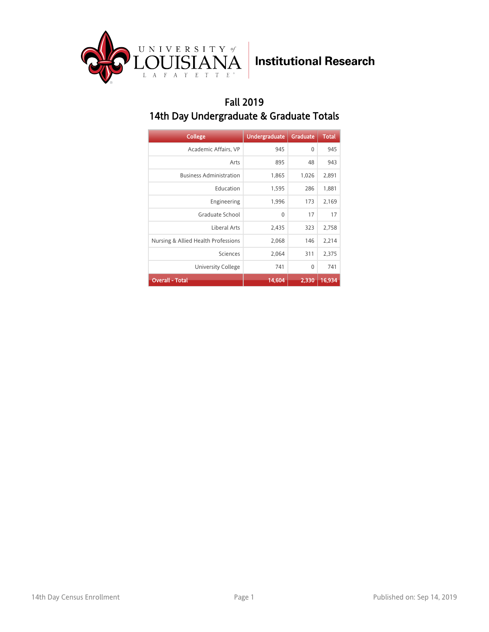

#### Fall 2019 14th Day Undergraduate & Graduate Totals

| <b>College</b>                      | <b>Undergraduate</b> | <b>Graduate</b> | <b>Total</b> |
|-------------------------------------|----------------------|-----------------|--------------|
| Academic Affairs, VP                | 945                  | 0               | 945          |
| Arts                                | 895                  | 48              | 943          |
| <b>Business Administration</b>      | 1,865                | 1,026           | 2,891        |
| Education                           | 1,595                | 286             | 1,881        |
| Engineering                         | 1,996                | 173             | 2,169        |
| Graduate School                     | 0                    | 17              | 17           |
| Liberal Arts                        | 2,435                | 323             | 2,758        |
| Nursing & Allied Health Professions | 2,068                | 146             | 2,214        |
| Sciences                            | 2,064                | 311             | 2,375        |
| University College                  | 741                  | 0               | 741          |
| <b>Overall - Total</b>              | 14,604               | 2,330           | 16,934       |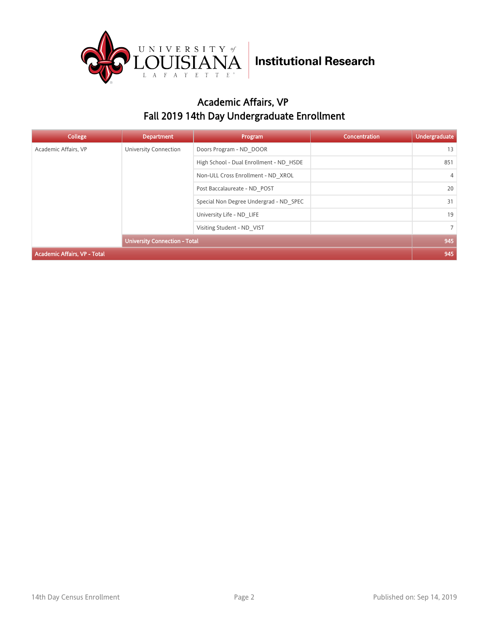

### Academic Affairs, VP Fall 2019 14th Day Undergraduate Enrollment

| <b>College</b>                       | <b>Department</b>          | Program                                 | Concentration  | <b>Undergraduate</b> |
|--------------------------------------|----------------------------|-----------------------------------------|----------------|----------------------|
| Academic Affairs, VP                 | University Connection      | Doors Program - ND DOOR                 |                | 13                   |
|                                      |                            | High School - Dual Enrollment - ND HSDE |                | 851                  |
|                                      |                            | Non-ULL Cross Enrollment - ND XROL      |                | $\overline{4}$       |
|                                      |                            | Post Baccalaureate - ND POST            |                | 20                   |
|                                      |                            | Special Non Degree Undergrad - ND SPEC  |                | 31                   |
|                                      |                            | University Life - ND LIFE               |                | 19                   |
|                                      | Visiting Student - ND VIST |                                         | $\overline{7}$ |                      |
| <b>University Connection - Total</b> |                            |                                         |                | 945                  |
| <b>Academic Affairs, VP - Total</b>  |                            |                                         |                | 945                  |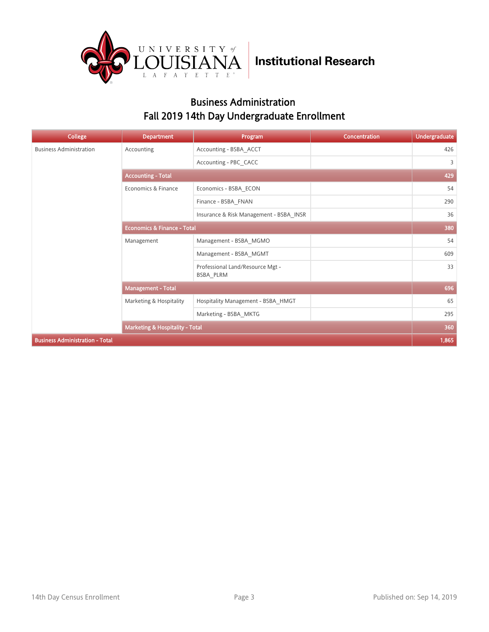

### Business Administration Fall 2019 14th Day Undergraduate Enrollment

| <b>College</b>                         | <b>Department</b>                          | Program                                       | <b>Concentration</b> | <b>Undergraduate</b> |  |
|----------------------------------------|--------------------------------------------|-----------------------------------------------|----------------------|----------------------|--|
| <b>Business Administration</b>         | Accounting                                 | Accounting - BSBA ACCT                        |                      | 426                  |  |
|                                        |                                            | Accounting - PBC CACC                         |                      | 3                    |  |
|                                        | <b>Accounting - Total</b>                  |                                               |                      |                      |  |
|                                        | Economics & Finance                        | Economics - BSBA ECON                         |                      | 54                   |  |
|                                        |                                            | Finance - BSBA FNAN                           |                      | 290                  |  |
|                                        |                                            | Insurance & Risk Management - BSBA INSR       |                      | 36                   |  |
|                                        | <b>Economics &amp; Finance - Total</b>     |                                               |                      | 380                  |  |
|                                        | Management                                 | Management - BSBA MGMO                        |                      | 54                   |  |
|                                        |                                            | Management - BSBA MGMT                        |                      | 609                  |  |
|                                        |                                            | Professional Land/Resource Mgt -<br>BSBA_PLRM |                      | 33                   |  |
|                                        | <b>Management - Total</b>                  |                                               |                      | 696                  |  |
|                                        | Marketing & Hospitality                    | Hospitality Management - BSBA HMGT            |                      | 65                   |  |
|                                        |                                            | Marketing - BSBA MKTG                         |                      | 295                  |  |
|                                        | <b>Marketing &amp; Hospitality - Total</b> |                                               |                      | 360                  |  |
| <b>Business Administration - Total</b> |                                            |                                               |                      | 1,865                |  |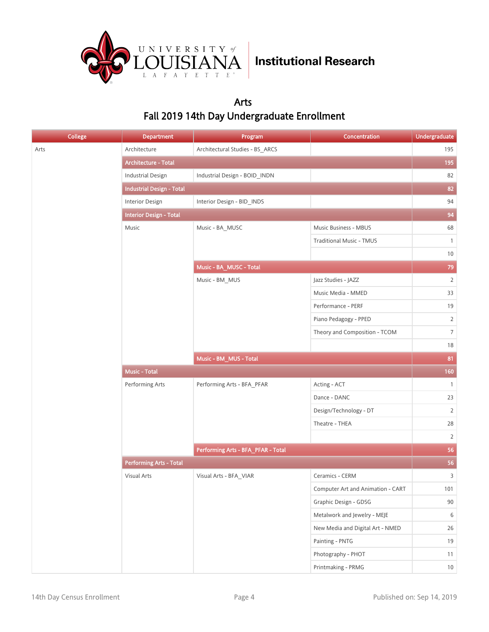

### Arts Fall 2019 14th Day Undergraduate Enrollment

| <b>College</b> | <b>Department</b>                | Program                            | <b>Concentration</b>              | <b>Undergraduate</b> |
|----------------|----------------------------------|------------------------------------|-----------------------------------|----------------------|
| Arts           | Architecture                     | Architectural Studies - BS_ARCS    |                                   | 195                  |
|                | Architecture - Total             |                                    |                                   | 195                  |
|                | <b>Industrial Design</b>         | Industrial Design - BOID_INDN      |                                   | 82                   |
|                | <b>Industrial Design - Total</b> |                                    |                                   | 82                   |
|                | <b>Interior Design</b>           | Interior Design - BID_INDS         |                                   | 94                   |
|                | <b>Interior Design - Total</b>   |                                    |                                   | 94                   |
|                | Music                            | Music - BA_MUSC                    | Music Business - MBUS             | 68                   |
|                |                                  |                                    | <b>Traditional Music - TMUS</b>   | $\mathbf{1}$         |
|                |                                  |                                    |                                   | $10\,$               |
|                |                                  | Music - BA_MUSC - Total            |                                   | 79                   |
|                |                                  | Music - BM_MUS                     | Jazz Studies - JAZZ               | $\overline{2}$       |
|                |                                  |                                    | Music Media - MMED                | 33                   |
|                |                                  |                                    | Performance - PERF                | 19                   |
|                |                                  |                                    | Piano Pedagogy - PPED             | $\overline{2}$       |
|                |                                  |                                    | Theory and Composition - TCOM     | 7 <sup>1</sup>       |
|                |                                  |                                    |                                   | 18                   |
|                |                                  | Music - BM_MUS - Total             |                                   | 81                   |
|                | Music - Total                    |                                    |                                   | 160                  |
|                | Performing Arts                  | Performing Arts - BFA_PFAR         | Acting - ACT                      | $\mathbf{1}$         |
|                |                                  |                                    | Dance - DANC                      | 23                   |
|                |                                  |                                    | Design/Technology - DT            | $\overline{2}$       |
|                |                                  |                                    | Theatre - THEA                    | $28\,$               |
|                |                                  |                                    |                                   | $\overline{2}$       |
|                |                                  | Performing Arts - BFA_PFAR - Total |                                   | 56                   |
|                | <b>Performing Arts - Total</b>   |                                    |                                   | 56                   |
|                | Visual Arts                      | Visual Arts - BFA_VIAR             | Ceramics - CERM                   | $\overline{3}$       |
|                |                                  |                                    | Computer Art and Animation - CART | 101                  |
|                |                                  |                                    | Graphic Design - GDSG             | $90\,$               |
|                |                                  |                                    | Metalwork and Jewelry - MEJE      | 6                    |
|                |                                  |                                    | New Media and Digital Art - NMED  | 26                   |
|                |                                  |                                    | Painting - PNTG                   | 19                   |
|                |                                  |                                    | Photography - PHOT                | 11                   |
|                |                                  |                                    | Printmaking - PRMG                | $10\,$               |
|                |                                  |                                    |                                   |                      |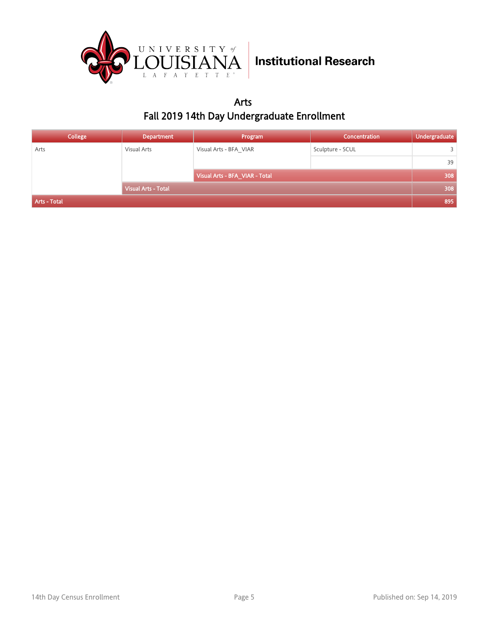

Arts Fall 2019 14th Day Undergraduate Enrollment

| College      | <b>Department</b>          | Program                        | <b>Concentration</b> | Undergraduate |
|--------------|----------------------------|--------------------------------|----------------------|---------------|
| Arts         | Visual Arts                | Visual Arts - BFA VIAR         | Sculpture - SCUL     | 3             |
|              |                            |                                |                      | 39            |
|              |                            | Visual Arts - BFA_VIAR - Total |                      | 308           |
|              | <b>Visual Arts - Total</b> |                                |                      | 308           |
| Arts - Total |                            |                                |                      | 895           |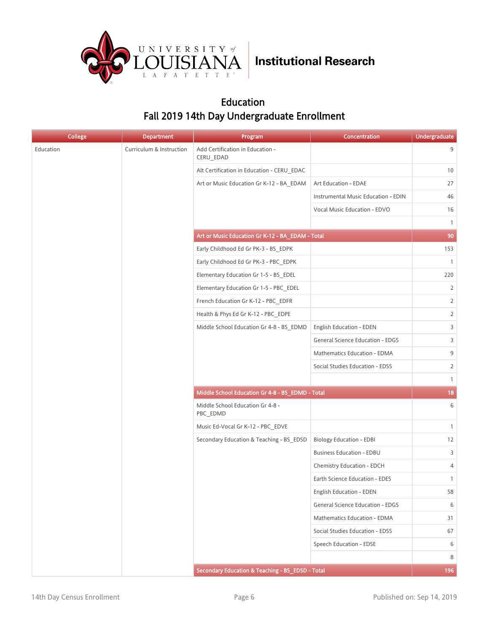

### Education Fall 2019 14th Day Undergraduate Enrollment

| <b>College</b> | <b>Department</b>        | Program                                          | Concentration                           | <b>Undergraduate</b> |
|----------------|--------------------------|--------------------------------------------------|-----------------------------------------|----------------------|
| Education      | Curriculum & Instruction | Add Certification in Education -<br>CERU_EDAD    |                                         | 9                    |
|                |                          | Alt Certification in Education - CERU EDAC       |                                         | 10                   |
|                |                          | Art or Music Education Gr K-12 - BA_EDAM         | Art Education - EDAE                    | 27                   |
|                |                          |                                                  | Instrumental Music Education - EDIN     | 46                   |
|                |                          |                                                  | Vocal Music Education - EDVO            | 16                   |
|                |                          |                                                  |                                         | $\mathbf{1}$         |
|                |                          | Art or Music Education Gr K-12 - BA_EDAM - Total |                                         | 90                   |
|                |                          | Early Childhood Ed Gr PK-3 - BS_EDPK             |                                         | 153                  |
|                |                          | Early Childhood Ed Gr PK-3 - PBC EDPK            |                                         | $\overline{1}$       |
|                |                          | Elementary Education Gr 1-5 - BS_EDEL            |                                         | 220                  |
|                |                          | Elementary Education Gr 1-5 - PBC EDEL           |                                         | 2                    |
|                |                          | French Education Gr K-12 - PBC EDFR              |                                         | $\overline{2}$       |
|                |                          | Health & Phys Ed Gr K-12 - PBC_EDPE              |                                         | $\overline{2}$       |
|                |                          | Middle School Education Gr 4-8 - BS_EDMD         | <b>English Education - EDEN</b>         | 3                    |
|                |                          |                                                  | <b>General Science Education - EDGS</b> | 3                    |
|                |                          |                                                  | Mathematics Education - EDMA            | 9                    |
|                |                          |                                                  | Social Studies Education - EDSS         | $\overline{2}$       |
|                |                          |                                                  |                                         | $\mathbf{1}$         |
|                |                          | Middle School Education Gr 4-8 - BS_EDMD - Total |                                         | 18                   |
|                |                          | Middle School Education Gr 4-8 -<br>PBC_EDMD     |                                         | 6                    |
|                |                          | Music Ed-Vocal Gr K-12 - PBC EDVE                |                                         | $\mathbf{1}$         |
|                |                          | Secondary Education & Teaching - BS EDSD         | <b>Biology Education - EDBI</b>         | 12                   |
|                |                          |                                                  | <b>Business Education - EDBU</b>        | 3                    |
|                |                          |                                                  | Chemistry Education - EDCH              | 4                    |
|                |                          |                                                  | Earth Science Education - EDES          | $\mathbf{1}$         |
|                |                          |                                                  | <b>English Education - EDEN</b>         | 58                   |
|                |                          |                                                  | <b>General Science Education - EDGS</b> | 6                    |
|                |                          |                                                  | Mathematics Education - EDMA            | 31                   |
|                |                          |                                                  | Social Studies Education - EDSS         | 67                   |
|                |                          |                                                  | Speech Education - EDSE                 | 6                    |
|                |                          |                                                  |                                         | 8                    |
|                |                          | Secondary Education & Teaching - BS_EDSD - Total |                                         | 196                  |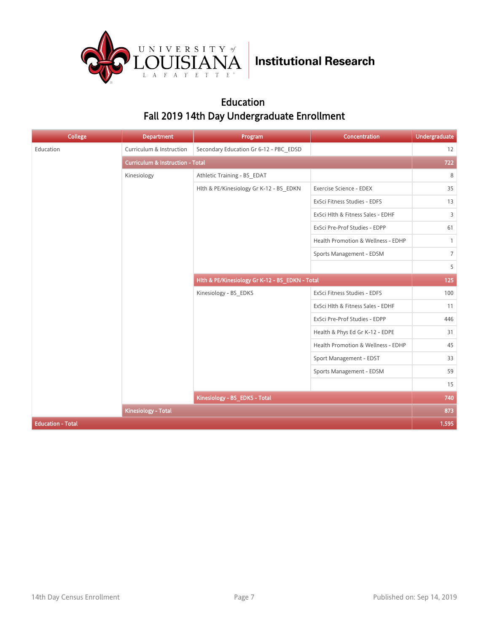

### Education Fall 2019 14th Day Undergraduate Enrollment

| <b>College</b>           | <b>Department</b>                           | Program                                         | Concentration                      | <b>Undergraduate</b> |
|--------------------------|---------------------------------------------|-------------------------------------------------|------------------------------------|----------------------|
| Education                | Curriculum & Instruction                    | Secondary Education Gr 6-12 - PBC EDSD          |                                    | 12                   |
|                          | <b>Curriculum &amp; Instruction - Total</b> |                                                 |                                    | 722                  |
|                          | Kinesiology                                 | Athletic Training - BS EDAT                     |                                    | 8                    |
|                          |                                             | Hlth & PE/Kinesiology Gr K-12 - BS_EDKN         | Exercise Science - EDEX            | 35                   |
|                          |                                             |                                                 | ExSci Fitness Studies - EDFS       | 13                   |
|                          |                                             |                                                 | ExSci Hlth & Fitness Sales - EDHF  | $\overline{3}$       |
|                          |                                             |                                                 | ExSci Pre-Prof Studies - EDPP      | 61                   |
|                          |                                             |                                                 | Health Promotion & Wellness - EDHP | $\mathbf{1}$         |
|                          |                                             |                                                 | Sports Management - EDSM           | $7\overline{ }$      |
|                          |                                             |                                                 |                                    | 5                    |
|                          |                                             | Hlth & PE/Kinesiology Gr K-12 - BS_EDKN - Total |                                    | 125                  |
|                          |                                             | Kinesiology - BS_EDKS                           | ExSci Fitness Studies - EDFS       | 100                  |
|                          |                                             |                                                 | ExSci Hlth & Fitness Sales - EDHF  | 11                   |
|                          |                                             |                                                 | ExSci Pre-Prof Studies - EDPP      | 446                  |
|                          |                                             |                                                 | Health & Phys Ed Gr K-12 - EDPE    | 31                   |
|                          |                                             |                                                 | Health Promotion & Wellness - EDHP | 45                   |
|                          |                                             |                                                 | Sport Management - EDST            | 33                   |
|                          |                                             |                                                 | Sports Management - EDSM           | 59                   |
|                          |                                             |                                                 |                                    | 15                   |
|                          |                                             | Kinesiology - BS_EDKS - Total                   |                                    | 740                  |
|                          | <b>Kinesiology - Total</b>                  |                                                 |                                    | 873                  |
| <b>Education - Total</b> |                                             |                                                 |                                    | 1,595                |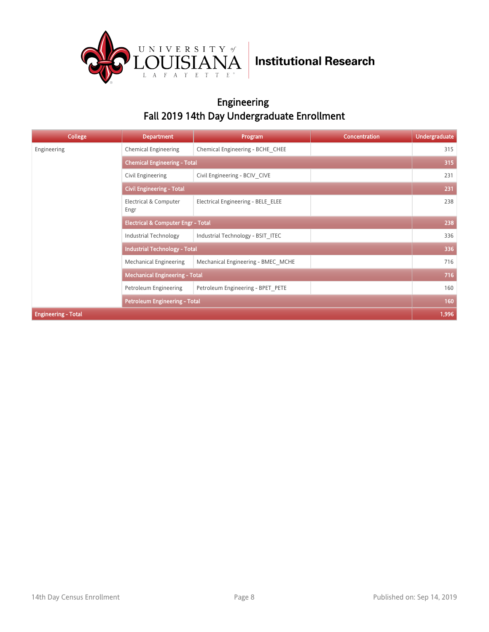

### Engineering Fall 2019 14th Day Undergraduate Enrollment

| <b>College</b>             | <b>Department</b>                             | Program                             | <b>Concentration</b> | <b>Undergraduate</b> |  |  |
|----------------------------|-----------------------------------------------|-------------------------------------|----------------------|----------------------|--|--|
| Engineering                | <b>Chemical Engineering</b>                   | Chemical Engineering - BCHE CHEE    |                      | 315                  |  |  |
|                            |                                               | <b>Chemical Engineering - Total</b> |                      |                      |  |  |
|                            | Civil Engineering                             | Civil Engineering - BCIV CIVE       |                      | 231                  |  |  |
|                            | <b>Civil Engineering - Total</b>              |                                     |                      | 231                  |  |  |
|                            | Electrical & Computer<br>Engr                 | Electrical Engineering - BELE ELEE  |                      | 238                  |  |  |
|                            | <b>Electrical &amp; Computer Engr - Total</b> |                                     |                      | 238                  |  |  |
|                            | Industrial Technology                         | Industrial Technology - BSIT ITEC   |                      | 336                  |  |  |
|                            | <b>Industrial Technology - Total</b>          |                                     |                      | 336                  |  |  |
|                            | Mechanical Engineering                        | Mechanical Engineering - BMEC MCHE  |                      | 716                  |  |  |
|                            | <b>Mechanical Engineering - Total</b>         |                                     |                      | 716                  |  |  |
|                            | Petroleum Engineering                         | Petroleum Engineering - BPET PETE   |                      | 160                  |  |  |
|                            | <b>Petroleum Engineering - Total</b>          |                                     |                      | 160                  |  |  |
| <b>Engineering - Total</b> |                                               |                                     |                      | 1,996                |  |  |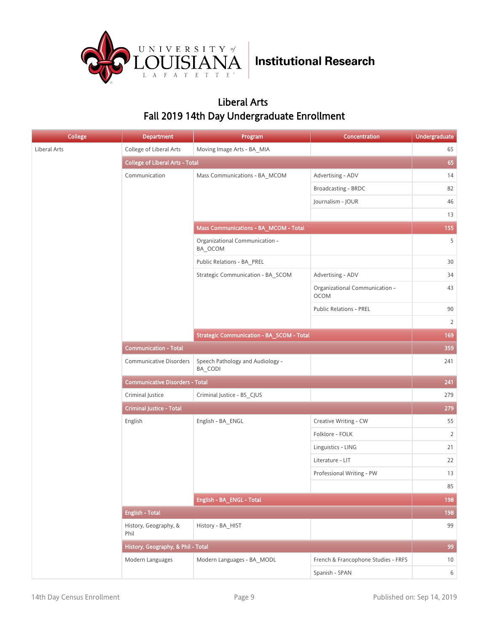

### Liberal Arts Fall 2019 14th Day Undergraduate Enrollment

| <b>College</b> | <b>Department</b>                      | Program                                          | Concentration                                 | <b>Undergraduate</b> |
|----------------|----------------------------------------|--------------------------------------------------|-----------------------------------------------|----------------------|
| Liberal Arts   | College of Liberal Arts                | Moving Image Arts - BA_MIA                       |                                               | 65                   |
|                | <b>College of Liberal Arts - Total</b> |                                                  |                                               | 65                   |
|                | Communication                          | Mass Communications - BA_MCOM                    | Advertising - ADV                             | 14                   |
|                |                                        |                                                  | Broadcasting - BRDC                           | 82                   |
|                |                                        |                                                  | Journalism - JOUR                             | 46                   |
|                |                                        |                                                  |                                               | 13                   |
|                |                                        | Mass Communications - BA_MCOM - Total            |                                               | 155                  |
|                |                                        | Organizational Communication -<br>BA_OCOM        |                                               | 5                    |
|                |                                        | Public Relations - BA_PREL                       |                                               | $30\,$               |
|                |                                        | Strategic Communication - BA_SCOM                | Advertising - ADV                             | 34                   |
|                |                                        |                                                  | Organizational Communication -<br><b>OCOM</b> | 43                   |
|                |                                        |                                                  | <b>Public Relations - PREL</b>                | 90                   |
|                |                                        |                                                  |                                               | $\overline{2}$       |
|                |                                        | <b>Strategic Communication - BA_SCOM - Total</b> |                                               | 169                  |
|                | <b>Communication - Total</b>           |                                                  |                                               |                      |
|                | <b>Communicative Disorders</b>         | Speech Pathology and Audiology -<br>BA_CODI      |                                               | 241                  |
|                | <b>Communicative Disorders - Total</b> |                                                  |                                               | 241                  |
|                | Criminal Justice                       | Criminal Justice - BS_CJUS                       |                                               | 279                  |
|                | <b>Criminal Justice - Total</b>        |                                                  |                                               | 279                  |
|                | English                                | English - BA_ENGL                                | Creative Writing - CW                         | 55                   |
|                |                                        |                                                  | Folklore - FOLK                               | $\overline{2}$       |
|                |                                        |                                                  | Linguistics - LING                            | 21                   |
|                |                                        |                                                  | Literature - LIT                              | 22                   |
|                |                                        |                                                  | Professional Writing - PW                     | 13                   |
|                |                                        |                                                  |                                               | 85                   |
|                |                                        | English - BA_ENGL - Total                        |                                               | 198                  |
|                | <b>English - Total</b>                 |                                                  |                                               | 198                  |
|                | History, Geography, &<br>Phil          | History - BA_HIST                                |                                               | 99                   |
|                | History, Geography, & Phil - Total     |                                                  |                                               | 99                   |
|                | Modern Languages                       | Modern Languages - BA MODL                       | French & Francophone Studies - FRFS           | 10                   |
|                |                                        |                                                  | Spanish - SPAN                                | $6\overline{6}$      |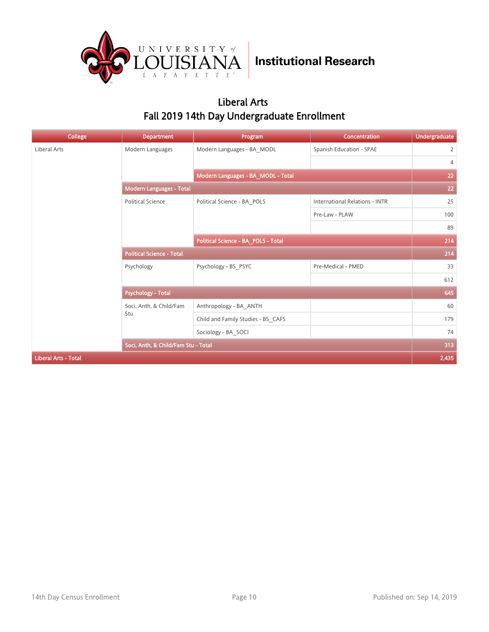

### Liberal Arts Fall 2019 14th Day Undergraduate Enrollment

| College                     | <b>Department</b>                   | Program                            | Concentration                         | <b>Undergraduate</b> |  |  |
|-----------------------------|-------------------------------------|------------------------------------|---------------------------------------|----------------------|--|--|
| Liberal Arts                | Modern Languages                    | Modern Languages - BA MODL         | Spanish Education - SPAE              | $\overline{2}$       |  |  |
|                             |                                     |                                    |                                       | 4                    |  |  |
|                             |                                     | Modern Languages - BA_MODL - Total |                                       |                      |  |  |
|                             | Modern Languages - Total            |                                    |                                       | 22                   |  |  |
|                             | <b>Political Science</b>            | Political Science - BA POLS        | <b>International Relations - INTR</b> | 25                   |  |  |
|                             |                                     |                                    | Pre-Law - PLAW                        | 100                  |  |  |
|                             |                                     |                                    |                                       | 89                   |  |  |
|                             | Political Science - BA_POLS - Total |                                    |                                       | 214                  |  |  |
|                             | <b>Political Science - Total</b>    |                                    |                                       | 214                  |  |  |
|                             | Psychology                          | Psychology - BS_PSYC               | Pre-Medical - PMED                    | 33                   |  |  |
|                             |                                     |                                    |                                       | 612                  |  |  |
|                             | <b>Psychology - Total</b>           |                                    |                                       | 645                  |  |  |
|                             | Soci, Anth, & Child/Fam             | Anthropology - BA ANTH             |                                       | 60                   |  |  |
|                             | Stu                                 | Child and Family Studies - BS_CAFS |                                       | 179                  |  |  |
|                             |                                     | Sociology - BA SOCI                |                                       | 74                   |  |  |
|                             | Soci, Anth, & Child/Fam Stu - Total |                                    |                                       | 313                  |  |  |
| <b>Liberal Arts - Total</b> |                                     |                                    |                                       | 2,435                |  |  |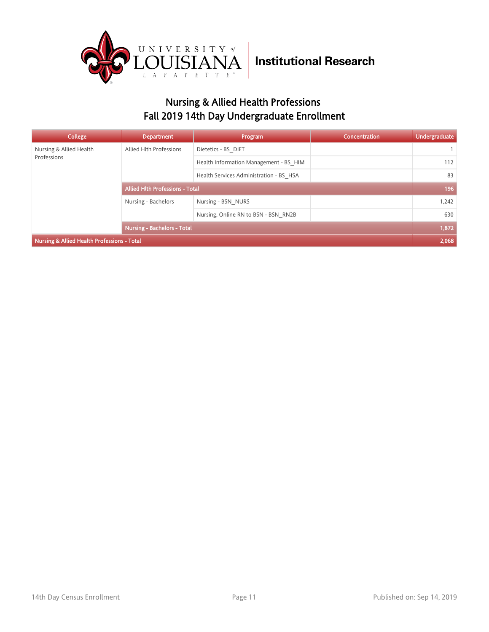

### Nursing & Allied Health Professions Fall 2019 14th Day Undergraduate Enrollment

| College                                                | <b>Department</b>                  | Program                                 | <b>Concentration</b> | <b>Undergraduate</b> |
|--------------------------------------------------------|------------------------------------|-----------------------------------------|----------------------|----------------------|
| Nursing & Allied Health                                | Allied Hlth Professions            | Dietetics - BS DIET                     |                      |                      |
| Professions                                            |                                    | Health Information Management - BS HIM  |                      | 112                  |
|                                                        |                                    | Health Services Administration - BS HSA |                      | 83                   |
|                                                        | Allied Hith Professions - Total    |                                         |                      | 196                  |
|                                                        | Nursing - Bachelors                | Nursing - BSN NURS                      |                      | 1,242                |
|                                                        |                                    | Nursing, Online RN to BSN - BSN RN2B    |                      | 630                  |
|                                                        | <b>Nursing - Bachelors - Total</b> |                                         |                      | 1,872                |
| <b>Nursing &amp; Allied Health Professions - Total</b> |                                    |                                         |                      | 2,068                |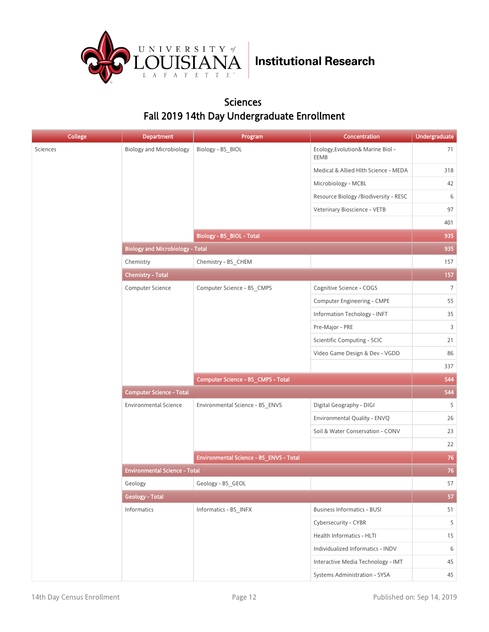

#### Sciences Fall 2019 14th Day Undergraduate Enrollment

| <b>College</b> | <b>Department</b>                       | Program                                 | Concentration                             | <b>Undergraduate</b> |
|----------------|-----------------------------------------|-----------------------------------------|-------------------------------------------|----------------------|
|                | <b>Biology and Microbiology</b>         | Biology - BS_BIOL                       | Ecology, Evolution& Marine Biol -<br>EEMB | 71                   |
|                |                                         |                                         | Medical & Allied Hlth Science - MEDA      | 318                  |
|                |                                         |                                         | Microbiology - MCBL                       | 42                   |
|                |                                         |                                         | Resource Biology /Biodiversity - RESC     | 6                    |
|                |                                         |                                         | Veterinary Bioscience - VETB              | 97                   |
|                |                                         |                                         |                                           | 401                  |
|                |                                         | Biology - BS_BIOL - Total               |                                           | 935                  |
|                | <b>Biology and Microbiology - Total</b> |                                         |                                           | 935                  |
|                | Chemistry                               | Chemistry - BS_CHEM                     |                                           | 157                  |
|                | <b>Chemistry - Total</b>                |                                         |                                           | 157                  |
|                | Computer Science                        | Computer Science - BS_CMPS              | Cognitive Science - COGS                  | $\overline{7}$       |
|                |                                         |                                         | Computer Engineering - CMPE               | 55                   |
|                |                                         |                                         | Information Techology - INFT              | 35                   |
|                |                                         |                                         | Pre-Major - PRE                           | $\overline{3}$       |
|                |                                         |                                         | Scientific Computing - SCIC               | 21                   |
|                |                                         |                                         | Video Game Design & Dev - VGDD            | 86                   |
|                |                                         |                                         |                                           | 337                  |
|                |                                         | Computer Science - BS_CMPS - Total      |                                           | 544                  |
|                | <b>Computer Science - Total</b>         |                                         |                                           | 544                  |
|                | <b>Environmental Science</b>            | Environmental Science - BS_ENVS         | Digital Geography - DIGI                  | 5                    |
|                |                                         |                                         | Environmental Quality - ENVQ              | 26                   |
|                |                                         |                                         | Soil & Water Conservation - CONV          | 23                   |
|                |                                         |                                         |                                           | 22                   |
|                |                                         | Environmental Science - BS_ENVS - Total |                                           | 76                   |
|                | <b>Environmental Science - Total</b>    |                                         |                                           | 76                   |
|                | Geology                                 | Geology - BS_GEOL                       |                                           | 57                   |
|                | <b>Geology - Total</b>                  |                                         |                                           | 57                   |
|                | Informatics                             | Informatics - BS_INFX                   | <b>Business Informatics - BUSI</b>        | 51                   |
|                |                                         |                                         | Cybersecurity - CYBR                      | 5                    |
|                |                                         |                                         | Health Informatics - HLTI                 | 15                   |
|                |                                         |                                         | Individualized Informatics - INDV         | 6                    |
|                |                                         |                                         | Interactive Media Technology - IMT        | 45                   |
|                |                                         |                                         | Systems Administration - SYSA             | 45                   |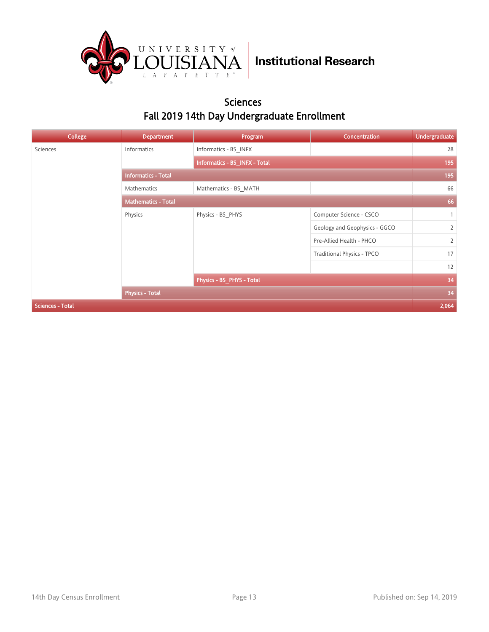

#### Sciences Fall 2019 14th Day Undergraduate Enrollment

| <b>College</b>          | <b>Department</b>          | Program                       | Concentration                     | <b>Undergraduate</b> |
|-------------------------|----------------------------|-------------------------------|-----------------------------------|----------------------|
| Sciences                | Informatics                | Informatics - BS INFX         |                                   | 28                   |
|                         |                            | Informatics - BS_INFX - Total |                                   | 195                  |
|                         | <b>Informatics - Total</b> |                               |                                   |                      |
|                         | <b>Mathematics</b>         | Mathematics - BS MATH         |                                   | 66                   |
|                         | <b>Mathematics - Total</b> |                               |                                   | 66                   |
|                         | Physics                    | Physics - BS_PHYS             | Computer Science - CSCO           | $\mathbf{1}$         |
|                         |                            |                               | Geology and Geophysics - GGCO     | $\overline{2}$       |
|                         |                            |                               | Pre-Allied Health - PHCO          | $\overline{2}$       |
|                         |                            |                               | <b>Traditional Physics - TPCO</b> | 17                   |
|                         |                            |                               |                                   | 12                   |
|                         |                            | Physics - BS_PHYS - Total     |                                   | 34                   |
|                         | <b>Physics - Total</b>     |                               |                                   | 34                   |
| <b>Sciences - Total</b> |                            |                               |                                   | 2,064                |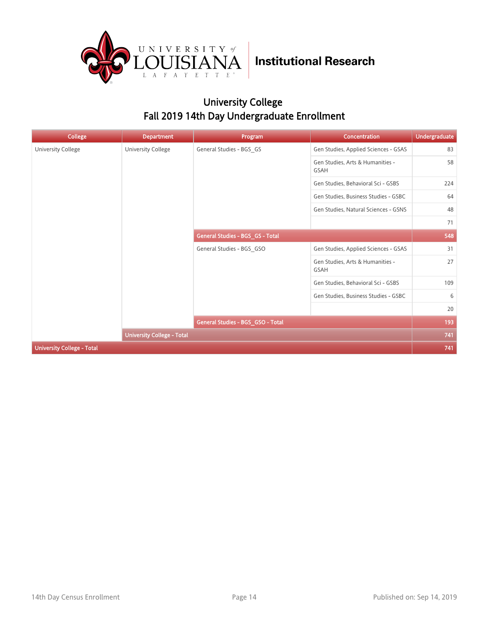

### University College Fall 2019 14th Day Undergraduate Enrollment

| College                           | <b>Department</b>                 | Program                           | <b>Concentration</b>                            | <b>Undergraduate</b> |
|-----------------------------------|-----------------------------------|-----------------------------------|-------------------------------------------------|----------------------|
| University College                | University College                | General Studies - BGS GS          | Gen Studies, Applied Sciences - GSAS            | 83                   |
|                                   |                                   |                                   | Gen Studies, Arts & Humanities -<br><b>GSAH</b> | 58                   |
|                                   |                                   |                                   | Gen Studies, Behavioral Sci - GSBS              | 224                  |
|                                   |                                   |                                   | Gen Studies, Business Studies - GSBC            | 64                   |
|                                   |                                   |                                   | Gen Studies, Natural Sciences - GSNS            | 48                   |
|                                   |                                   |                                   |                                                 | 71                   |
|                                   |                                   | General Studies - BGS_GS - Total  |                                                 | 548                  |
|                                   |                                   | General Studies - BGS GSO         | Gen Studies, Applied Sciences - GSAS            | 31                   |
|                                   |                                   |                                   | Gen Studies, Arts & Humanities -<br><b>GSAH</b> | 27                   |
|                                   |                                   |                                   | Gen Studies, Behavioral Sci - GSBS              | 109                  |
|                                   |                                   |                                   | Gen Studies, Business Studies - GSBC            | 6                    |
|                                   |                                   |                                   |                                                 | 20                   |
|                                   |                                   | General Studies - BGS_GSO - Total |                                                 | 193                  |
|                                   | <b>University College - Total</b> |                                   |                                                 | 741                  |
| <b>University College - Total</b> |                                   |                                   |                                                 | 741                  |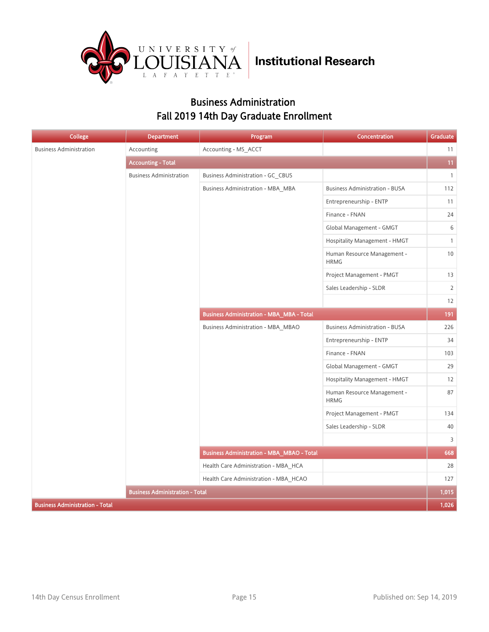

### Business Administration Fall 2019 14th Day Graduate Enrollment

| <b>College</b>                         | <b>Department</b>                      | Program                                           | Concentration                              | Graduate       |
|----------------------------------------|----------------------------------------|---------------------------------------------------|--------------------------------------------|----------------|
| <b>Business Administration</b>         | Accounting                             | Accounting - MS_ACCT                              |                                            | 11             |
|                                        | <b>Accounting - Total</b>              |                                                   |                                            | 11             |
|                                        | <b>Business Administration</b>         | Business Administration - GC CBUS                 |                                            | $\mathbf{1}$   |
|                                        |                                        | Business Administration - MBA MBA                 | <b>Business Administration - BUSA</b>      | 112            |
|                                        |                                        |                                                   | Entrepreneurship - ENTP                    | 11             |
|                                        |                                        |                                                   | Finance - FNAN                             | 24             |
|                                        |                                        |                                                   | Global Management - GMGT                   | 6              |
|                                        |                                        |                                                   | Hospitality Management - HMGT              | 1              |
|                                        |                                        |                                                   | Human Resource Management -<br><b>HRMG</b> | $10\,$         |
|                                        |                                        |                                                   | Project Management - PMGT                  | 13             |
|                                        |                                        |                                                   | Sales Leadership - SLDR                    | $\overline{2}$ |
|                                        |                                        |                                                   |                                            | 12             |
|                                        |                                        | <b>Business Administration - MBA_MBA - Total</b>  |                                            | 191            |
|                                        |                                        | <b>Business Administration - MBA_MBAO</b>         | <b>Business Administration - BUSA</b>      | 226            |
|                                        |                                        |                                                   | Entrepreneurship - ENTP                    | 34             |
|                                        |                                        |                                                   | Finance - FNAN                             | 103            |
|                                        |                                        |                                                   | Global Management - GMGT                   | 29             |
|                                        |                                        |                                                   | Hospitality Management - HMGT              | 12             |
|                                        |                                        |                                                   | Human Resource Management -<br><b>HRMG</b> | 87             |
|                                        |                                        |                                                   | Project Management - PMGT                  | 134            |
|                                        |                                        |                                                   | Sales Leadership - SLDR                    | 40             |
|                                        |                                        |                                                   |                                            | 3              |
|                                        |                                        | <b>Business Administration - MBA_MBAO - Total</b> |                                            | 668            |
|                                        |                                        | Health Care Administration - MBA HCA              |                                            | 28             |
|                                        |                                        | Health Care Administration - MBA_HCAO             |                                            | 127            |
|                                        | <b>Business Administration - Total</b> |                                                   |                                            | 1,015          |
| <b>Business Administration - Total</b> |                                        |                                                   |                                            | 1,026          |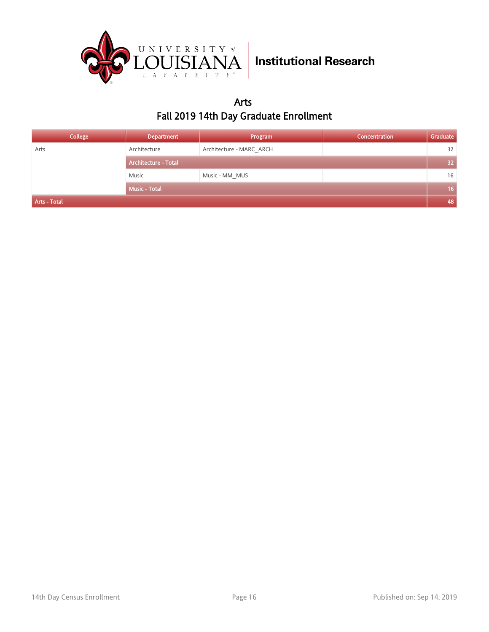

### Arts Fall 2019 14th Day Graduate Enrollment

| <b>College</b> | <b>Department</b>           | Program                  | Concentration | Graduate        |
|----------------|-----------------------------|--------------------------|---------------|-----------------|
| Arts           | Architecture                | Architecture - MARC ARCH |               | 32              |
|                | <b>Architecture - Total</b> |                          |               | 32 <sup>2</sup> |
|                | Music                       | Music - MM MUS           |               | 16              |
|                | <b>Music - Total</b>        |                          |               | 16 <sup>1</sup> |
| Arts - Total   |                             |                          |               | 48              |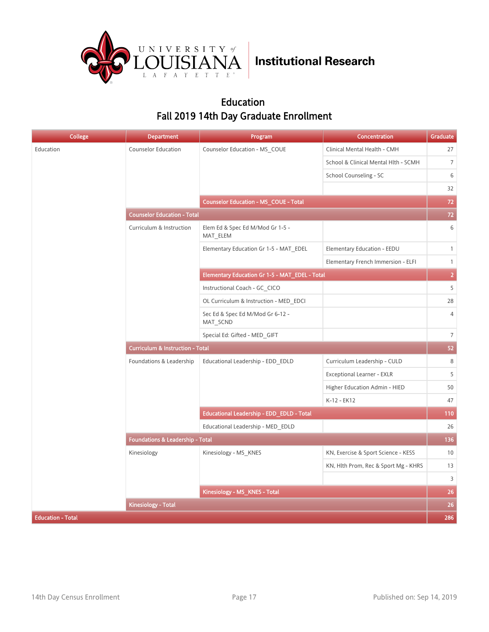

### Education Fall 2019 14th Day Graduate Enrollment

| <b>College</b>           | <b>Department</b>                           | Program                                        | <b>Concentration</b>                 | Graduate                 |  |
|--------------------------|---------------------------------------------|------------------------------------------------|--------------------------------------|--------------------------|--|
| Education                | <b>Counselor Education</b>                  | Counselor Education - MS COUE                  | Clinical Mental Health - CMH         | 27                       |  |
|                          |                                             |                                                | School & Clinical Mental Hlth - SCMH | $\overline{7}$           |  |
|                          |                                             |                                                | School Counseling - SC               | 6                        |  |
|                          |                                             |                                                |                                      | 32                       |  |
|                          |                                             | <b>Counselor Education - MS_COUE - Total</b>   |                                      | 72                       |  |
|                          | <b>Counselor Education - Total</b>          |                                                |                                      | $72\,$                   |  |
|                          | Curriculum & Instruction                    | Elem Ed & Spec Ed M/Mod Gr 1-5 -<br>MAT_ELEM   |                                      | 6                        |  |
|                          |                                             | Elementary Education Gr 1-5 - MAT_EDEL         | Elementary Education - EEDU          | $\mathbf{1}$             |  |
|                          |                                             |                                                | Elementary French Immersion - ELFI   | $\mathbf{1}$             |  |
|                          |                                             | Elementary Education Gr 1-5 - MAT EDEL - Total |                                      | $\overline{2}$           |  |
|                          |                                             | Instructional Coach - GC CICO                  |                                      | 5                        |  |
|                          |                                             | OL Curriculum & Instruction - MED EDCI         |                                      | 28                       |  |
|                          |                                             | Sec Ed & Spec Ed M/Mod Gr 6-12 -<br>MAT SCND   |                                      | $\overline{4}$           |  |
|                          |                                             | Special Ed: Gifted - MED GIFT                  |                                      | $\overline{\phantom{a}}$ |  |
|                          | <b>Curriculum &amp; Instruction - Total</b> |                                                |                                      |                          |  |
|                          | Foundations & Leadership                    | Educational Leadership - EDD EDLD              | Curriculum Leadership - CULD         | 8                        |  |
|                          |                                             |                                                | Exceptional Learner - EXLR           | 5                        |  |
|                          |                                             |                                                | Higher Education Admin - HIED        | 50                       |  |
|                          |                                             |                                                | K-12 - EK12                          | 47                       |  |
|                          |                                             | Educational Leadership - EDD_EDLD - Total      |                                      | 110                      |  |
|                          |                                             | Educational Leadership - MED EDLD              |                                      | 26                       |  |
|                          | <b>Foundations &amp; Leadership - Total</b> |                                                |                                      | 136                      |  |
|                          | Kinesiology                                 | Kinesiology - MS KNES                          | KN, Exercise & Sport Science - KESS  | 10                       |  |
|                          |                                             |                                                | KN, Hlth Prom, Rec & Sport Mg - KHRS | 13                       |  |
|                          |                                             |                                                |                                      | 3                        |  |
|                          |                                             | Kinesiology - MS KNES - Total                  |                                      | 26                       |  |
|                          | <b>Kinesiology - Total</b>                  |                                                |                                      | 26                       |  |
| <b>Education - Total</b> |                                             |                                                |                                      | 286                      |  |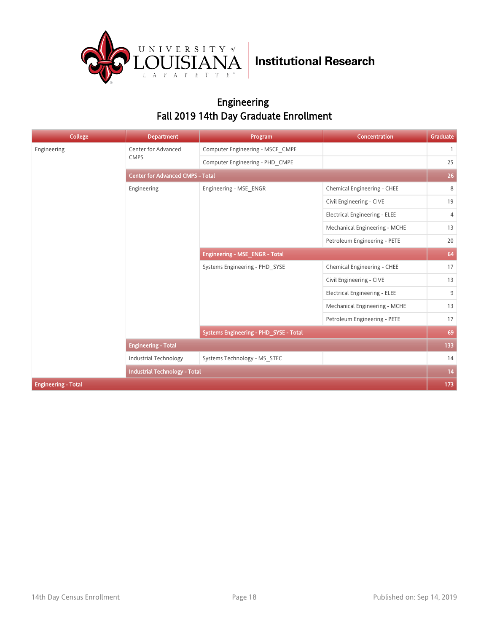

### Engineering Fall 2019 14th Day Graduate Enrollment

| College                    | <b>Department</b>                       | Program                                | Concentration                        | Graduate     |  |
|----------------------------|-----------------------------------------|----------------------------------------|--------------------------------------|--------------|--|
| Engineering                | Center for Advanced                     | Computer Engineering - MSCE CMPE       |                                      | $\mathbf{1}$ |  |
|                            | <b>CMPS</b>                             | Computer Engineering - PHD CMPE        |                                      | 25           |  |
|                            | <b>Center for Advanced CMPS - Total</b> |                                        |                                      |              |  |
|                            | Engineering                             | Engineering - MSE ENGR                 | Chemical Engineering - CHEE          | 8            |  |
|                            |                                         |                                        | Civil Engineering - CIVE             | 19           |  |
|                            |                                         |                                        | <b>Electrical Engineering - ELEE</b> | 4            |  |
|                            |                                         |                                        | Mechanical Engineering - MCHE        | 13           |  |
|                            |                                         |                                        | Petroleum Engineering - PETE         | 20           |  |
|                            |                                         | Engineering - MSE_ENGR - Total         |                                      | 64           |  |
|                            |                                         | Systems Engineering - PHD SYSE         | Chemical Engineering - CHEE          | 17           |  |
|                            |                                         |                                        | Civil Engineering - CIVE             | 13           |  |
|                            |                                         |                                        | <b>Electrical Engineering - ELEE</b> | 9            |  |
|                            |                                         |                                        | Mechanical Engineering - MCHE        | 13           |  |
|                            |                                         |                                        | Petroleum Engineering - PETE         | 17           |  |
|                            |                                         | Systems Engineering - PHD_SYSE - Total |                                      | 69           |  |
|                            | <b>Engineering - Total</b>              |                                        |                                      | 133          |  |
|                            | <b>Industrial Technology</b>            | Systems Technology - MS STEC           |                                      | 14           |  |
|                            | <b>Industrial Technology - Total</b>    |                                        |                                      | 14           |  |
| <b>Engineering - Total</b> |                                         |                                        |                                      | 173          |  |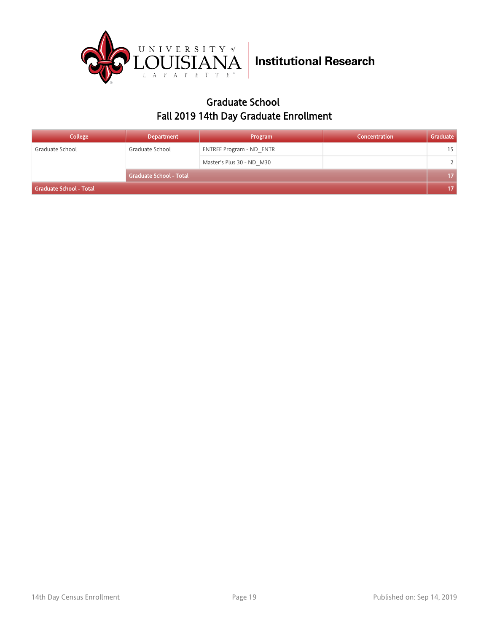

### Graduate School Fall 2019 14th Day Graduate Enrollment

| College                 | <b>Department</b>              | Program                         | Concentration | Graduate        |
|-------------------------|--------------------------------|---------------------------------|---------------|-----------------|
| Graduate School         | Graduate School                | <b>ENTREE Program - ND ENTR</b> |               | 15              |
|                         |                                | Master's Plus 30 - ND M30       |               | $\mathbf{2}$    |
|                         | <b>Graduate School - Total</b> |                                 |               | 17 <sub>2</sub> |
| Graduate School - Total |                                |                                 |               |                 |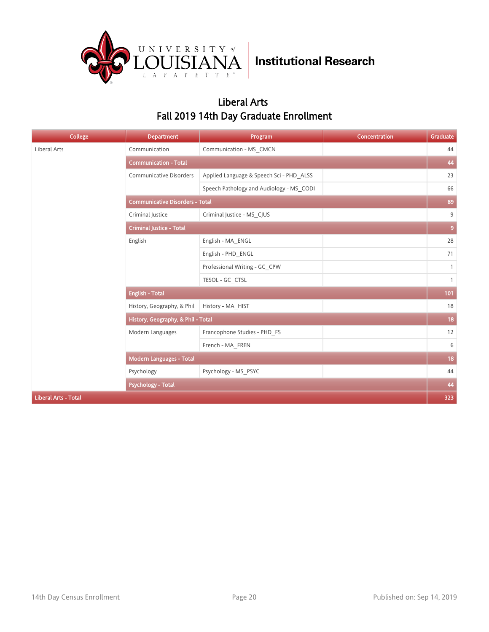

### Liberal Arts Fall 2019 14th Day Graduate Enrollment

| College                     | <b>Department</b>                      | Program                                  | Concentration | Graduate     |  |  |
|-----------------------------|----------------------------------------|------------------------------------------|---------------|--------------|--|--|
| Liberal Arts                | Communication                          | Communication - MS_CMCN                  |               | 44           |  |  |
|                             | <b>Communication - Total</b>           |                                          |               | 44           |  |  |
|                             | <b>Communicative Disorders</b>         | Applied Language & Speech Sci - PHD ALSS |               | 23           |  |  |
|                             |                                        | Speech Pathology and Audiology - MS CODI |               | 66           |  |  |
|                             | <b>Communicative Disorders - Total</b> |                                          |               |              |  |  |
|                             | Criminal Justice                       | Criminal Justice - MS CJUS               |               | 9            |  |  |
|                             | <b>Criminal Justice - Total</b>        |                                          |               |              |  |  |
|                             | English                                | English - MA ENGL                        |               | 28           |  |  |
|                             |                                        | English - PHD ENGL                       |               | 71           |  |  |
|                             |                                        | Professional Writing - GC CPW            |               | $\mathbf{1}$ |  |  |
|                             |                                        | TESOL - GC CTSL                          |               | $\mathbf{1}$ |  |  |
|                             | <b>English - Total</b>                 |                                          |               |              |  |  |
|                             | History, Geography, & Phil             | History - MA HIST                        |               | 18           |  |  |
|                             | History, Geography, & Phil - Total     |                                          |               | $18$         |  |  |
|                             | Modern Languages                       | Francophone Studies - PHD FS             |               | 12           |  |  |
|                             |                                        | French - MA FREN                         |               | 6            |  |  |
|                             | <b>Modern Languages - Total</b>        |                                          |               | 18           |  |  |
|                             | Psychology                             | Psychology - MS_PSYC                     |               | 44           |  |  |
|                             | <b>Psychology - Total</b>              |                                          |               | 44           |  |  |
| <b>Liberal Arts - Total</b> |                                        |                                          |               | 323          |  |  |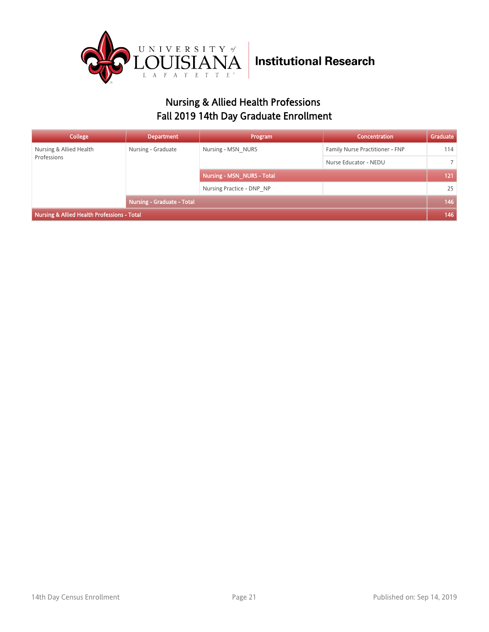

### Nursing & Allied Health Professions Fall 2019 14th Day Graduate Enrollment

| College                                     | <b>Department</b>                 | Program                    | Concentration                   | Graduate       |
|---------------------------------------------|-----------------------------------|----------------------------|---------------------------------|----------------|
| Nursing & Allied Health<br>Professions      | Nursing - Graduate                | Nursing - MSN NURS         | Family Nurse Practitioner - FNP | 114            |
|                                             |                                   |                            | Nurse Educator - NEDU           | $\overline{7}$ |
|                                             |                                   | Nursing - MSN NURS - Total |                                 | 121            |
|                                             |                                   | Nursing Practice - DNP NP  |                                 | 25             |
|                                             | <b>Nursing - Graduate - Total</b> |                            |                                 | 146            |
| Nursing & Allied Health Professions - Total |                                   |                            |                                 |                |